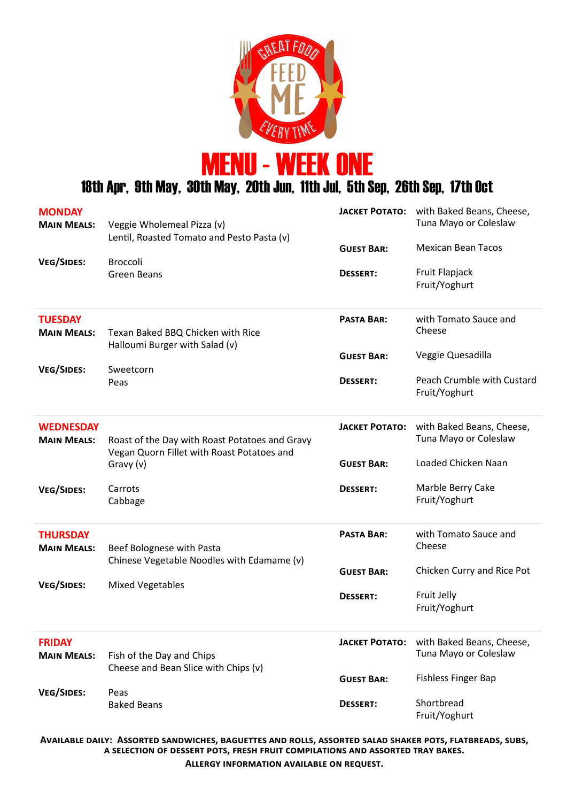



## 18th Apr, 9th May, 30th May, 20th Jun, 11th Jul, 5th Sep, 26th Sep, 17th Oct

| <b>MONDAY</b><br><b>MAIN MEALS:</b>    | Veggie Wholemeal Pizza (v)<br>Lentil, Roasted Tomato and Pesto Pasta (v)                     | ЈАСКЕТ РОТАТО:                       | with Baked Beans, Cheese,<br>Tuna Mayo or Coleslaw |
|----------------------------------------|----------------------------------------------------------------------------------------------|--------------------------------------|----------------------------------------------------|
| <b>VEG/SIDES:</b>                      | <b>Broccoli</b><br><b>Green Beans</b>                                                        | <b>GUEST BAR:</b><br><b>DESSERT:</b> | <b>Mexican Bean Tacos</b><br>Fruit Flapjack        |
|                                        |                                                                                              |                                      | Fruit/Yoghurt                                      |
| <b>TUESDAY</b><br><b>MAIN MEALS:</b>   | Texan Baked BBQ Chicken with Rice<br>Halloumi Burger with Salad (v)                          | <b>PASTA BAR:</b>                    | with Tomato Sauce and<br>Cheese                    |
| VEG/SIDES:                             | Sweetcorn                                                                                    | <b>GUEST BAR:</b>                    | Veggie Quesadilla                                  |
|                                        | Peas                                                                                         | <b>DESSERT:</b>                      | Peach Crumble with Custard<br>Fruit/Yoghurt        |
| <b>WEDNESDAY</b><br><b>MAIN MEALS:</b> | Roast of the Day with Roast Potatoes and Gravy<br>Vegan Quorn Fillet with Roast Potatoes and | <b>JACKET POTATO:</b>                | with Baked Beans, Cheese,<br>Tuna Mayo or Coleslaw |
|                                        | Gravy (v)                                                                                    | <b>GUEST BAR:</b>                    | Loaded Chicken Naan                                |
| <b>VEG/SIDES:</b>                      | Carrots<br>Cabbage                                                                           | <b>DESSERT:</b>                      | Marble Berry Cake<br>Fruit/Yoghurt                 |
| <b>THURSDAY</b><br><b>MAIN MEALS:</b>  | Beef Bolognese with Pasta<br>Chinese Vegetable Noodles with Edamame (v)                      | <b>PASTA BAR:</b>                    | with Tomato Sauce and<br>Cheese                    |
| <b>VEG/SIDES:</b>                      | <b>Mixed Vegetables</b>                                                                      | <b>GUEST BAR:</b>                    | Chicken Curry and Rice Pot                         |
|                                        |                                                                                              | <b>DESSERT:</b>                      | Fruit Jelly<br>Fruit/Yoghurt                       |
| <b>FRIDAY</b><br><b>MAIN MEALS:</b>    | Fish of the Day and Chips<br>Cheese and Bean Slice with Chips (v)                            | <b>JACKET POTATO:</b>                | with Baked Beans, Cheese,<br>Tuna Mayo or Coleslaw |
| <b>VEG/SIDES:</b>                      | Peas                                                                                         | <b>GUEST BAR:</b>                    | <b>Fishless Finger Bap</b>                         |
|                                        | <b>Baked Beans</b>                                                                           | <b>DESSERT:</b>                      | Shortbread<br>Fruit/Yoghurt                        |

**Available daily: Assorted sandwiches, baguettes and rolls, assorted salad shaker pots, flatbreads, subs, a selection of dessert pots, fresh fruit compilations and assorted tray bakes.**

**Allergy information available on request.**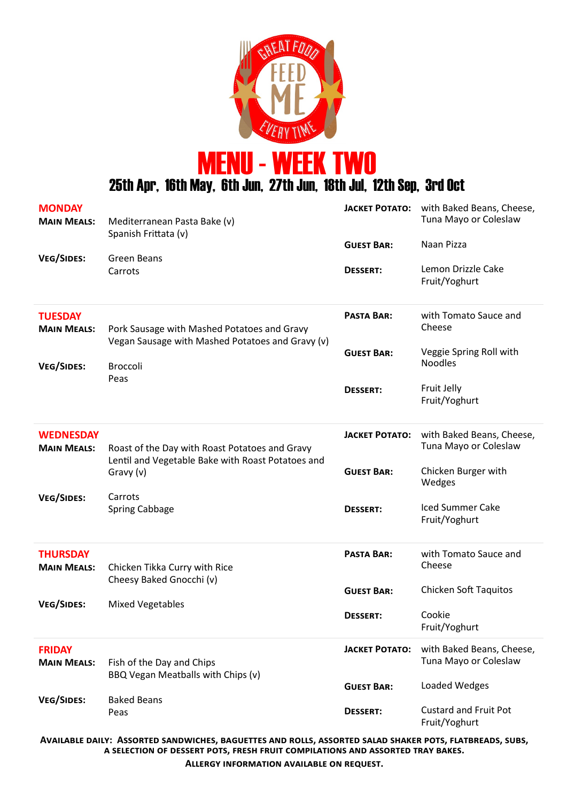

MENU - WEEK TWO

25th Apr, 16th May, 6th Jun, 27th Jun, 18th Jul, 12th Sep, 3rd Oct

| <b>MONDAY</b><br><b>MAIN MEALS:</b><br><b>VEG/SIDES:</b>  | Mediterranean Pasta Bake (v)<br>Spanish Frittata (v)<br>Green Beans<br>Carrots                                             | <b>JACKET POTATO:</b><br><b>GUEST BAR:</b><br><b>DESSERT:</b> | with Baked Beans, Cheese,<br>Tuna Mayo or Coleslaw<br>Naan Pizza<br>Lemon Drizzle Cake<br>Fruit/Yoghurt      |
|-----------------------------------------------------------|----------------------------------------------------------------------------------------------------------------------------|---------------------------------------------------------------|--------------------------------------------------------------------------------------------------------------|
| <b>TUESDAY</b><br><b>MAIN MEALS:</b><br><b>VEG/SIDES:</b> | Pork Sausage with Mashed Potatoes and Gravy<br>Vegan Sausage with Mashed Potatoes and Gravy (v)<br><b>Broccoli</b><br>Peas | <b>PASTA BAR:</b><br><b>GUEST BAR:</b><br><b>DESSERT:</b>     | with Tomato Sauce and<br>Cheese<br>Veggie Spring Roll with<br><b>Noodles</b><br>Fruit Jelly<br>Fruit/Yoghurt |
| <b>WEDNESDAY</b><br><b>MAIN MEALS:</b>                    | Roast of the Day with Roast Potatoes and Gravy<br>Lentil and Vegetable Bake with Roast Potatoes and<br>Gravy (v)           | <b>JACKET POTATO:</b><br><b>GUEST BAR:</b>                    | with Baked Beans, Cheese,<br>Tuna Mayo or Coleslaw<br>Chicken Burger with<br>Wedges                          |
| <b>VEG/SIDES:</b>                                         | Carrots<br><b>Spring Cabbage</b>                                                                                           | <b>DESSERT:</b>                                               | <b>Iced Summer Cake</b><br>Fruit/Yoghurt                                                                     |
| <b>THURSDAY</b><br><b>MAIN MEALS:</b>                     | Chicken Tikka Curry with Rice<br>Cheesy Baked Gnocchi (v)                                                                  | <b>PASTA BAR:</b><br><b>GUEST BAR:</b>                        | with Tomato Sauce and<br>Cheese<br><b>Chicken Soft Taquitos</b>                                              |
| <b>VEG/SIDES:</b>                                         | <b>Mixed Vegetables</b>                                                                                                    | <b>DESSERT:</b>                                               | Cookie<br>Fruit/Yoghurt                                                                                      |
| <b>FRIDAY</b><br><b>MAIN MEALS:</b>                       | Fish of the Day and Chips<br>BBQ Vegan Meatballs with Chips (v)                                                            | <b>JACKET POTATO:</b>                                         | with Baked Beans, Cheese,<br>Tuna Mayo or Coleslaw                                                           |
| <b>VEG/SIDES:</b>                                         | <b>Baked Beans</b><br>Peas                                                                                                 | <b>GUEST BAR:</b><br><b>DESSERT:</b>                          | Loaded Wedges<br><b>Custard and Fruit Pot</b><br>Fruit/Yoghurt                                               |

**Available daily: Assorted sandwiches, baguettes and rolls, assorted salad shaker pots, flatbreads, subs, a selection of dessert pots, fresh fruit compilations and assorted tray bakes.**

**Allergy information available on request.**